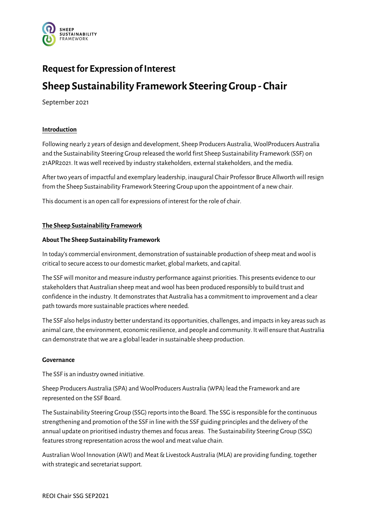

## **Request for Expression of Interest**

# **Sheep Sustainability Framework Steering Group - Chair**

September 2021

## **Introduction**

Following nearly 2 years of design and development, Sheep Producers Australia, WoolProducers Australia and the Sustainability Steering Group released the world first Sheep Sustainability Framework (SSF) on 21APR2021. It was well received by industry stakeholders, external stakeholders, and the media.

After two years of impactful and exemplary leadership, inaugural Chair Professor Bruce Allworth will resign from the Sheep Sustainability Framework Steering Group upon the appointment of a new chair.

This document is an open call for expressions of interest for the role of chair.

## **The Sheep Sustainability Framework**

## **About The Sheep Sustainability Framework**

In today's commercial environment, demonstration of sustainable production of sheep meat and wool is critical to secure access to our domestic market, global markets, and capital.

The SSFwill monitor and measure industry performance against priorities. This presents evidence to our stakeholders that Australian sheep meat and wool has been produced responsibly to build trust and confidence in the industry. It demonstrates that Australia has a commitment to improvement and a clear path towards more sustainable practices where needed.

The SSF also helps industry better understand its opportunities, challenges, and impacts in key areas such as animal care, the environment, economic resilience, and people and community. It will ensure that Australia can demonstrate that we are a global leader in sustainable sheep production.

## **Governance**

The SSF is an industry owned initiative.

Sheep Producers Australia (SPA) and WoolProducers Australia (WPA) lead the Framework and are represented on the SSF Board.

The Sustainability Steering Group (SSG) reportsinto the Board. The SSG is responsible for the continuous strengthening and promotion of the SSF in line with the SSF guiding principles and the delivery of the annual update on prioritised industry themes and focus areas. The Sustainability Steering Group (SSG) features strong representation across the wool and meat value chain.

Australian Wool Innovation (AWI) and Meat & Livestock Australia (MLA) are providing funding, together with strategic and secretariat support.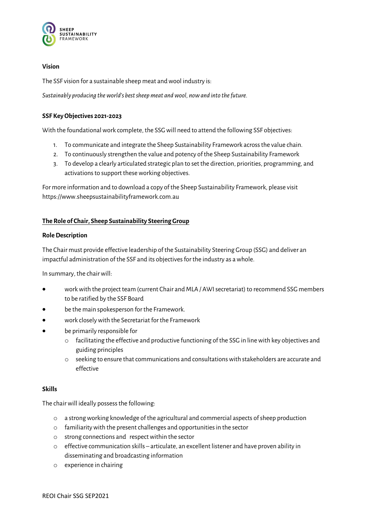

## **Vision**

The SSF vision for a sustainable sheep meat and wool industry is:

*Sustainably producing the world's best sheep meat and wool, now and into the future.*

## **SSF Key Objectives 2021-2023**

With the foundational work complete, the SSG will need to attend the following SSF objectives:

- 1. To communicate and integrate the Sheep Sustainability Framework acrossthe value chain.
- 2. To continuously strengthen the value and potency of the Sheep Sustainability Framework
- 3. To develop a clearly articulated strategic plan to set the direction, priorities, programming, and activations to support these working objectives.

For more information and to download a copy of the Sheep Sustainability Framework, please visit https://www.sheepsustainabilityframework.com.au

## **The Role of Chair, Sheep Sustainability SteeringGroup**

## **Role Description**

The Chair must provide effective leadership of the Sustainability Steering Group (SSG) and deliver an impactful administration of the SSF and its objectives for the industry as a whole.

In summary, the chair will:

- work with the project team (current Chair and MLA / AWI secretariat) to recommend SSG members to be ratified by the SSF Board
- be the main spokesperson for the Framework.
- work closely with the Secretariat for the Framework
- be primarily responsible for
	- o facilitating the effective and productive functioning of the SSG in line with key objectives and guiding principles
	- o seeking to ensure that communications and consultations with stakeholders are accurate and effective

## **Skills**

The chair will ideally possess the following:

- o a strong working knowledge of the agricultural and commercial aspects of sheep production
- $o$  familiarity with the present challenges and opportunities in the sector
- o strong connections and respect within the sector
- $\circ$  effective communication skills articulate, an excellent listener and have proven ability in disseminating and broadcasting information
- o experience in chairing